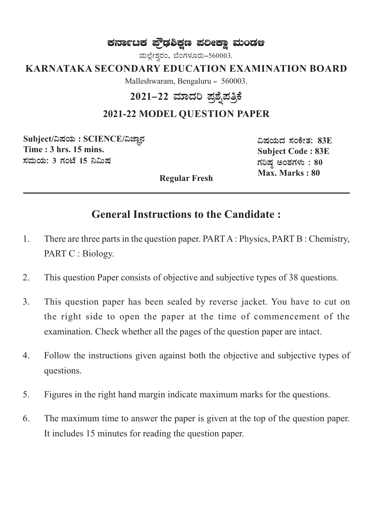# ಕರ್ನಾಟಕ ಫ್ರೌಢಶಿಕ್ಷಣ ಪಲೀಕ್ಷಾ ಮಂಡಆ

ಮಲ್ಲೇಶ್ವರಂ, ಬೆಂಗಳೂರು-560003.

**KARNATAKA SECONDARY EDUCATION EXAMINATION BOARD**

Malleshwaram, Bengaluru - 560003.

# 2021**–22 ಮಾದರಿ ಪ್ರಶೈಪತ್ರಿ**ಕೆ

#### **2021-22 MODEL QUESTION PAPER**

 $\text{Subject}/\text{a}$ ಷಯ :  $\text{SCIENCE}/\text{a}$ ಜ್ಞಾನ **Time : 3 hrs. 15 mins.**  $\vec{a}$ ಮಯ: 3 ಗಂಟೆ 15 ನಿಮಿಷ

 $\lambda$ ಷಯದ ಸಂಕೇತ: 83E **Subject Code : 83E** ಗರಿಷ ಅಂಶಗಳು : **80 Max. Marks : 80** 

**Regular Fresh**

# **General Instructions to the Candidate :**

- 1. There are three parts in the question paper. PART A : Physics, PART B : Chemistry, PART C : Biology.
- 2. This question Paper consists of objective and subjective types of 38 questions.
- 3. This question paper has been sealed by reverse jacket. You have to cut on the right side to open the paper at the time of commencement of the examination. Check whether all the pages of the question paper are intact.
- 4. Follow the instructions given against both the objective and subjective types of questions.
- 5. Figures in the right hand margin indicate maximum marks for the questions.
- 6. The maximum time to answer the paper is given at the top of the question paper. It includes 15 minutes for reading the question paper.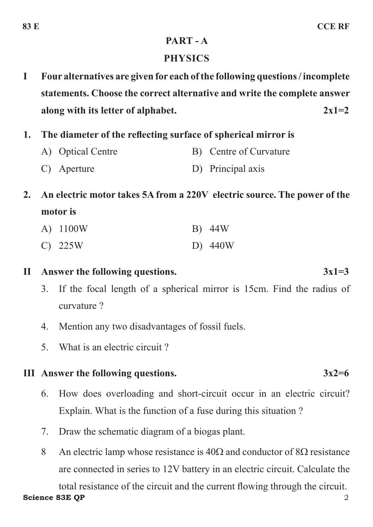#### **PART - A**

## **PHYSICS**

- **I Four alternatives are given for each of the following questions / incomplete statements. Choose the correct alternative and write the complete answer along with its letter of alphabet. 2x1=2**
- **1. The diameter of the reflecting surface of spherical mirror is** 
	- A) Optical Centre B) Centre of Curvature
	- C) Aperture D) Principal axis
- **2. An electric motor takes 5A from a 220V electric source. The power of the motor is**

| A) 1100W  | B) 44W  |
|-----------|---------|
| $C)$ 225W | D) 440W |

**II Answer the following questions. 3x1=3**

- 3. If the focal length of a spherical mirror is 15cm. Find the radius of curvature ?
- 4. Mention any two disadvantages of fossil fuels.
- 5. What is an electric circuit ?

### **III Answer the following questions. 3x2=6**

- 6. How does overloading and short-circuit occur in an electric circuit? Explain. What is the function of a fuse during this situation ?
- 7. Draw the schematic diagram of a biogas plant.
- 8 An electric lamp whose resistance is  $40\Omega$  and conductor of  $8\Omega$  resistance are connected in series to 12V battery in an electric circuit. Calculate the

**Science 83E OP** 2 total resistance of the circuit and the current flowing through the circuit.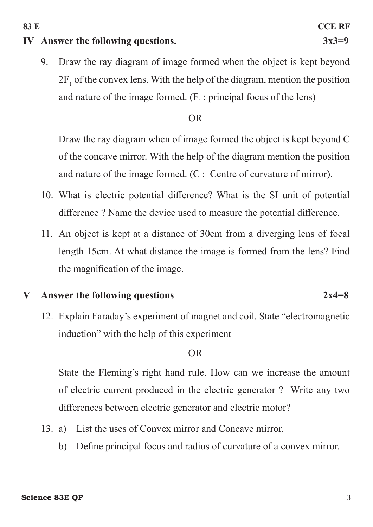#### **Science 83E OP** 3

#### **IV Answer the following questions. 3x3=9**

9. Draw the ray diagram of image formed when the object is kept beyond  $2F_1$  of the convex lens. With the help of the diagram, mention the position and nature of the image formed.  $(F_1: principal focus of the lens)$ 

#### OR

Draw the ray diagram when of image formed the object is kept beyond C of the concave mirror. With the help of the diagram mention the position and nature of the image formed. (C : Centre of curvature of mirror).

- 10. What is electric potential difference? What is the SI unit of potential difference ? Name the device used to measure the potential difference.
- 11. An object is kept at a distance of 30cm from a diverging lens of focal length 15cm. At what distance the image is formed from the lens? Find the magnification of the image.

#### **V Answer the following questions 2x4=8**

12. Explain Faraday's experiment of magnet and coil. State "electromagnetic induction" with the help of this experiment

#### OR

State the Fleming's right hand rule. How can we increase the amount of electric current produced in the electric generator ? Write any two differences between electric generator and electric motor?

- 13. a) List the uses of Convex mirror and Concave mirror.
	- b) Define principal focus and radius of curvature of a convex mirror.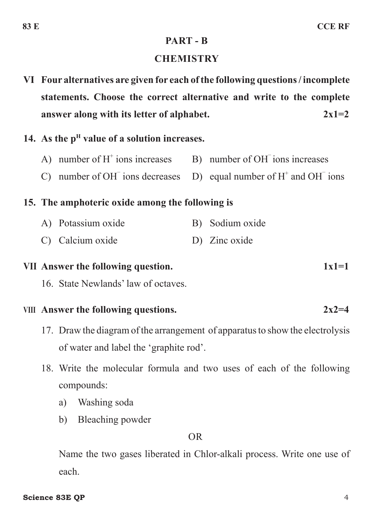#### **PART - B**

#### **CHEMISTRY**

**VI Four alternatives are given for each of the following questions / incomplete statements. Choose the correct alternative and write to the complete answer along with its letter of alphabet. 2x1=2** 

## 14. As the p<sup>H</sup> value of a solution increases.

- A) number of  $H^+$  ions increases ions increases B) number of OH ions increases
- $C$ ) number of  $OH$ <sup>-</sup> ions decreases ions decreases  $D)$  equal number of  $H^+$  and OH<sup>-</sup> ions

### **15. The amphoteric oxide among the following is**

- A) Potassium oxide B) Sodium oxide
- C) Calcium oxide D) Zinc oxide

# **VII Answer the following question. 1x1=1**

16. State Newlands' law of octaves.

### **VIII Answer the following questions. 2x2=4**

- 17. Draw the diagram of the arrangement of apparatus to show the electrolysis of water and label the 'graphite rod'.
- 18. Write the molecular formula and two uses of each of the following compounds:
	- a) Washing soda
	- b) Bleaching powder

OR

Name the two gases liberated in Chlor-alkali process. Write one use of each.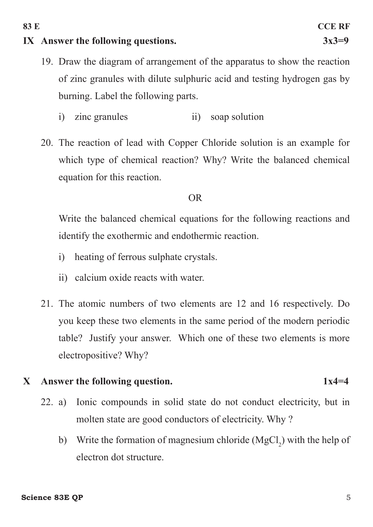#### **IX Answer the following questions. 3x3=9**

- 19. Draw the diagram of arrangement of the apparatus to show the reaction of zinc granules with dilute sulphuric acid and testing hydrogen gas by burning. Label the following parts.
	- i) zinc granules ii) soap solution
- 20. The reaction of lead with Copper Chloride solution is an example for which type of chemical reaction? Why? Write the balanced chemical equation for this reaction.

#### OR

Write the balanced chemical equations for the following reactions and identify the exothermic and endothermic reaction.

- i) heating of ferrous sulphate crystals.
- ii) calcium oxide reacts with water.
- 21. The atomic numbers of two elements are 12 and 16 respectively. Do you keep these two elements in the same period of the modern periodic table? Justify your answer. Which one of these two elements is more electropositive? Why?

#### **X Answer the following question. 1x4=4**

- 22. a) Ionic compounds in solid state do not conduct electricity, but in molten state are good conductors of electricity. Why ?
	- b) Write the formation of magnesium chloride  $(MgCl<sub>2</sub>)$  with the help of electron dot structure.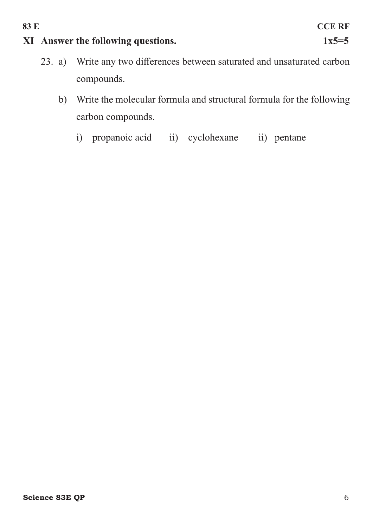# **XI Answer the following questions. 1x5=5**

- 23. a) Write any two differences between saturated and unsaturated carbon compounds.
	- b) Write the molecular formula and structural formula for the following carbon compounds.
		- i) propanoic acid ii) cyclohexane ii) pentane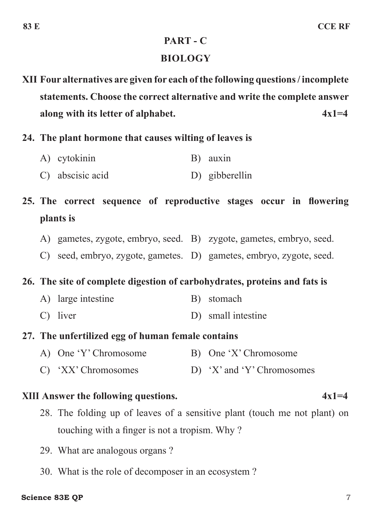# **PART - C**

#### **BIOLOGY**

**XII Four alternatives are given for each of the following questions / incomplete statements. Choose the correct alternative and write the complete answer along with its letter of alphabet. 4x1=4** 

- **24. The plant hormone that causes wilting of leaves is** 
	- A) cytokinin B) auxin
	- C) abscisic acid D) gibberellin

# **25. The correct sequence of reproductive stages occur in flowering plants is**

- A) gametes, zygote, embryo, seed. B) zygote, gametes, embryo, seed.
- C) seed, embryo, zygote, gametes. D) gametes, embryo, zygote, seed.

### **26. The site of complete digestion of carbohydrates, proteins and fats is**

- A) large intestine B) stomach
- C) liver D) small intestine

### **27. The unfertilized egg of human female contains**

- A) One 'Y' Chromosome B) One 'X' Chromosome
- C) 'XX' Chromosomes D) 'X' and 'Y' Chromosomes

### **XIII Answer the following questions.** 4x1=4

- 28. The folding up of leaves of a sensitive plant (touch me not plant) on touching with a finger is not a tropism. Why ?
- 29. What are analogous organs ?
- 30. What is the role of decomposer in an ecosystem ?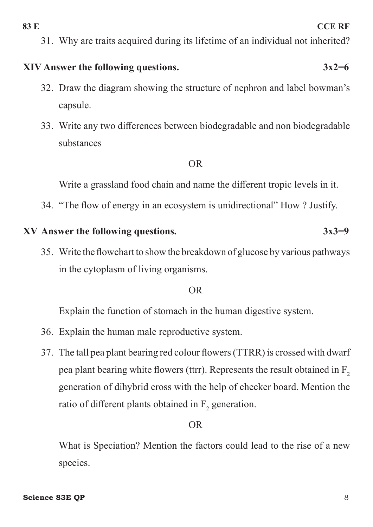31. Why are traits acquired during its lifetime of an individual not inherited?

# **XIV Answer the following questions. 3x2=6**

- 32. Draw the diagram showing the structure of nephron and label bowman's capsule.
- 33. Write any two differences between biodegradable and non biodegradable substances

#### OR

Write a grassland food chain and name the different tropic levels in it.

34. "The flow of energy in an ecosystem is unidirectional" How ? Justify.

### **XV Answer the following questions. 3x3=9**

35. Write the flowchart to show the breakdown of glucose by various pathways in the cytoplasm of living organisms.

### OR

Explain the function of stomach in the human digestive system.

- 36. Explain the human male reproductive system.
- 37. The tall pea plant bearing red colour flowers (TTRR) is crossed with dwarf pea plant bearing white flowers (ttrr). Represents the result obtained in  $F_2$ generation of dihybrid cross with the help of checker board. Mention the ratio of different plants obtained in  $F_2$  generation.

# OR

What is Speciation? Mention the factors could lead to the rise of a new species.